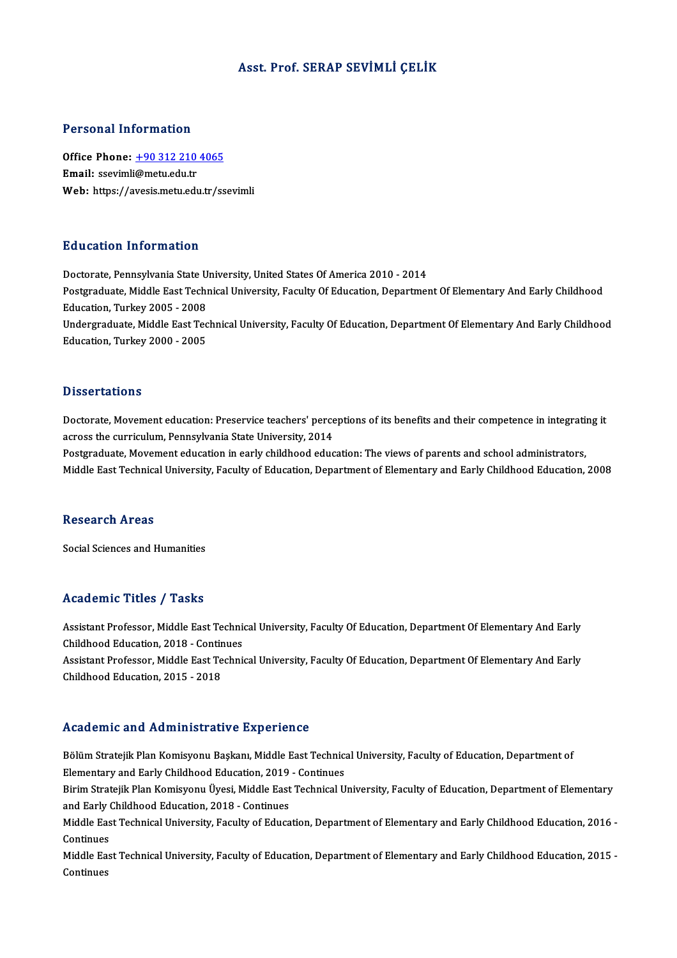# Asst. Prof. SERAP SEVİMLİ ÇELİK

### Personal Information

Personal Information<br>Office Phone: <u>+90 312 210 4065</u><br>Email: ssavimli@matu.edu.tr office Phone: <u>+90 312 210</u><br>Email: ssevimli[@metu.edu.tr](tel:+90 312 210 4065)<br>Web: https://avesis.metu.edu Email: ssevimli@metu.edu.tr<br>Web: https://avesis.metu.edu.tr/ssevimli

### Education Information

Doctorate, Pennsylvania State University, United States Of America 2010 - 2014 Punculation Throf Inderon<br>Doctorate, Pennsylvania State University, United States Of America 2010 - 2014<br>Postgraduate, Middle East Technical University, Faculty Of Education, Department Of Elementary And Early Childhood Doctorate, Pennsylvania State U<br>Postgraduate, Middle East Tech<br>Education, Turkey 2005 - 2008<br>Undergraduate, Middle East Tea Postgraduate, Middle East Technical University, Faculty Of Education, Department Of Elementary And Early Childhood<br>Education, Turkey 2005 - 2008<br>Undergraduate, Middle East Technical University, Faculty Of Education, Depart Education, Turkey 2005 - 2008<br>Undergraduate, Middle East Technical University, Faculty Of Education, Department Of Elementary And Early Childhood<br>Education, Turkey 2000 - 2005

### **Dissertations**

Dissertations<br>Doctorate, Movement education: Preservice teachers' perceptions of its benefits and their competence in integrating it<br>201006 the quariqulum Pennevivanie State University 2014 across tacrosis<br>Doctorate, Movement education: Preservice teachers' perce<br>across the curriculum, Pennsylvania State University, 2014<br>Pestaveduate Movement education in early shildhood odus across the curriculum, Pennsylvania State University, 2014<br>Postgraduate, Movement education in early childhood education: The views of parents and school administrators,

Middle East Technical University, Faculty of Education, Department of Elementary and Early Childhood Education, 2008

### Research Areas

Social Sciences and Humanities

# Academic Titles / Tasks

Academic Titles / Tasks<br>Assistant Professor, Middle East Technical University, Faculty Of Education, Department Of Elementary And Early<br>Childheed Education, 2018, Continues Assistant Professor, Middle East Technic<br>Childhood Education, 2018 - Continues<br>Assistant Professor, Middle East Technic Assistant Professor, Middle East Technical University, Faculty Of Education, Department Of Elementary And Early<br>Childhood Education, 2018 - Continues<br>Assistant Professor, Middle East Technical University, Faculty Of Educat Childhood Education, 2018 - Continues<br>Assistant Professor, Middle East Technical University, Faculty Of Education, Department Of Elementary And Early<br>Childhood Education, 2015 - 2018

# Academic and Administrative Experience

Academic and Administrative Experience<br>Bölüm Stratejik Plan Komisyonu Başkanı, Middle East Technical University, Faculty of Education, Department of<br>Flamentary and Farly Childbood Education, 2019, Continues Elementary and Tramministriary of Englishmentary<br>Elementary and Early Childhood Education, 2019 - Continues<br>Elementary and Early Childhood Education, 2019 - Continues<br>Pirim Strateilly Plan Komisyony (Jyosi Middle Fost Tosh Bölüm Stratejik Plan Komisyonu Başkanı, Middle East Technical University, Faculty of Education, Department of<br>Elementary and Early Childhood Education, 2019 - Continues<br>Birim Stratejik Plan Komisyonu Üyesi, Middle East Tec

Elementary and Early Childhood Education, 2019<br>Birim Stratejik Plan Komisyonu Üyesi, Middle East<br>and Early Childhood Education, 2018 - Continues<br>Middle Fest Teshnisel University, Fesulty of Educa Birim Stratejik Plan Komisyonu Üyesi, Middle East Technical University, Faculty of Education, Department of Elementary<br>and Early Childhood Education, 2018 - Continues<br>Middle East Technical University, Faculty of Education,

and Early Childhood Education, 2018 - Continues<br>Middle East Technical University, Faculty of Educa<br>Continues Middle East Technical University, Faculty of Education, Department of Elementary and Early Childhood Education, 2016 -<br>Continues<br>Middle East Technical University, Faculty of Education, Department of Elementary and Early Ch

Middle East Technical University, Faculty of Education, Department of Elementary and Early Childhood Education, 2015 -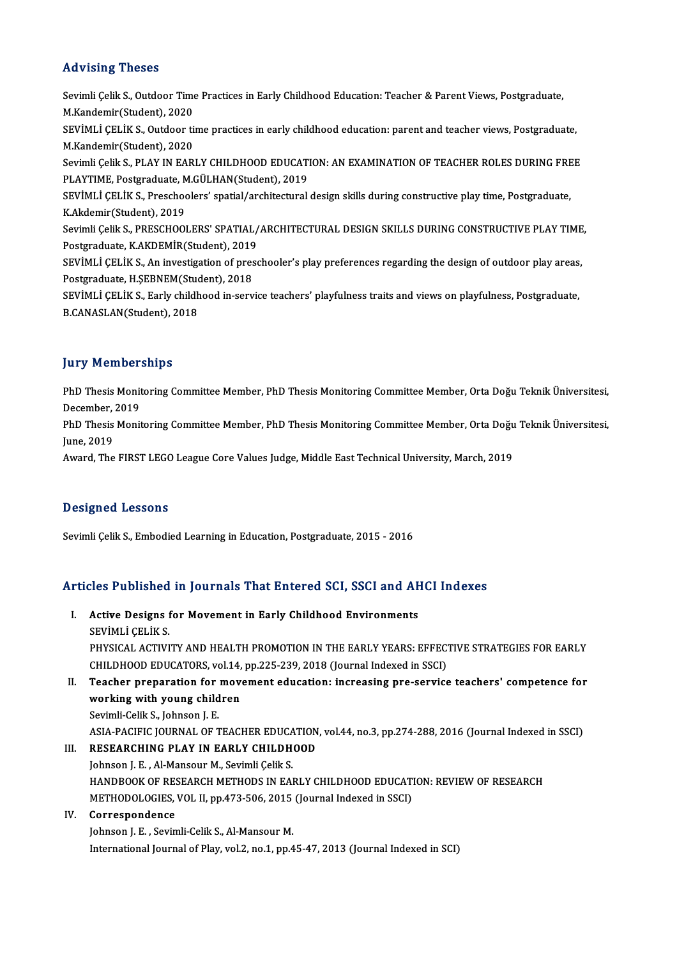# Advising Theses

Advising Theses<br>Sevimli Çelik S., Outdoor Time Practices in Early Childhood Education: Teacher & Parent Views, Postgraduate,<br>M.Kandamir(Studant), 2020 Marrian Hills of Theodor<br>Sevimli Çelik S., Outdoor Time<br>M.Kandemir(Student), 2020<br>SEVİMLİ CELİK S. Outdoor ti Sevimli Çelik S., Outdoor Time Practices in Early Childhood Education: Teacher & Parent Views, Postgraduate,<br>M.Kandemir(Student), 2020<br>SEVİMLİ ÇELİK S., Outdoor time practices in early childhood education: parent and teach M.Kandemir(Student), 2020<br>SEVİMLİ ÇELİK S., Outdoor ti<br>M.Kandemir(Student), 2020<br>Sevimli Çelik S. BLAV IN FAR SEVİMLİ ÇELİK S., Outdoor time practices in early childhood education: parent and teacher views, Postgraduate,<br>M.Kandemir(Student), 2020<br>Sevimli Çelik S., PLAY IN EARLY CHILDHOOD EDUCATION: AN EXAMINATION OF TEACHER ROLES M.Kandemir(Student), 2020<br>Sevimli Çelik S., PLAY IN EARLY CHILDHOOD EDUCATION: AN EXAMINATION OF TEACHER ROLES DURING FREE<br>PLAYTIME, Postgraduate, M.GÜLHAN(Student), 2019 Sevimli Çelik S., PLAY IN EARLY CHILDHOOD EDUCATION: AN EXAMINATION OF TEACHER ROLES DURING FRE<br>PLAYTIME, Postgraduate, M.GÜLHAN(Student), 2019<br>SEVİMLİ ÇELİK S., Preschoolers' spatial/architectural design skills during con PLAYTIME, Postgraduate, M<br>SEVİMLİ ÇELİK S., Preschoo<br>K.Akdemir(Student), 2019<br>Sevimli Çelik S., PRESCHOOL SEVİMLİ ÇELİK S., Preschoolers' spatial/architectural design skills during constructive play time, Postgraduate,<br>K.Akdemir(Student), 2019<br>Sevimli Çelik S., PRESCHOOLERS' SPATIAL/ARCHITECTURAL DESIGN SKILLS DURING CONSTRUCT K.Akdemir(Student), 2019<br>Sevimli Çelik S., PRESCHOOLERS' SPATIAL/<br>Postgraduate, K.AKDEMİR(Student), 2019<br>SEVİMLİ CELİK S. An investisation of press Sevimli Çelik S., PRESCHOOLERS' SPATIAL/ARCHITECTURAL DESIGN SKILLS DURING CONSTRUCTIVE PLAY TIME<br>Postgraduate, K.AKDEMİR(Student), 2019<br>SEVİMLİ ÇELİK S., An investigation of preschooler's play preferences regarding the de Postgraduate, K.AKDEMİR(Student), 2019<br>SEVİMLİ ÇELİK S., An investigation of pres<br>Postgraduate, H.ŞEBNEM(Student), 2018<br>SEVİMLİ ÇELİK S. Farly shildhood in sorv SEVİMLİ ÇELİK S., An investigation of preschooler's play preferences regarding the design of outdoor play areas,<br>Postgraduate, H.ŞEBNEM(Student), 2018<br>SEVİMLİ ÇELİK S., Early childhood in-service teachers' playfulness trai Postgraduate, H.ŞEBNEM(Stuc<br>SEVİMLİ ÇELİK S., Early childh<br>B.CANASLAN(Student), 2018

# **Jury Memberships**

**Jury Memberships**<br>PhD Thesis Monitoring Committee Member, PhD Thesis Monitoring Committee Member, Orta Doğu Teknik Üniversitesi,<br>Desamber, 2019 PhD Thesis Monit<br>December, 2019<br>PhD Thesis Monit PhD Thesis Monitoring Committee Member, PhD Thesis Monitoring Committee Member, Orta Doğu Teknik Üniversitesi,<br>December, 2019<br>PhD Thesis Monitoring Committee Member, PhD Thesis Monitoring Committee Member, Orta Doğu Teknik

December,<br>PhD Thesis<br>June, 2019<br>Augud The PhD Thesis Monitoring Committee Member, PhD Thesis Monitoring Committee Member, Orta Doğu<br>June, 2019<br>Award, The FIRST LEGO League Core Values Judge, Middle East Technical University, March, 2019

Award, The FIRST LEGO League Core Values Judge, Middle East Technical University, March, 2019<br>Designed Lessons

Sevimli Çelik S., Embodied Learning in Education, Postgraduate, 2015 - 2016

# Articles Published in Journals That Entered SCI, SSCI and AHCI Indexes

rticles Published in Journals That Entered SCI, SSCI and AF<br>I. Active Designs for Movement in Early Childhood Environments<br>SEVIMLICELIVS SEVIMLI ÇELİKSI<br>SEVİMLİ ÇELİK S.<br>DUYSICAL ACTIVI SEVIMLI ÇELIK S.<br>PHYSICAL ACTIVITY AND HEALTH PROMOTION IN THE EARLY YEARS: EFFECTIVE STRATEGIES FOR EARLY SEVIMLI ÇELIK S.<br>PHYSICAL ACTIVITY AND HEALTH PROMOTION IN THE EARLY YEARS: EFFEC<br>CHILDHOOD EDUCATORS, vol.14, pp.225-239, 2018 (Journal Indexed in SSCI)<br>Teacher proporation for movement education; increasing are corvise PHYSICAL ACTIVITY AND HEALTH PROMOTION IN THE EARLY YEARS: EFFECTIVE STRATEGIES FOR EARLY<br>CHILDHOOD EDUCATORS, vol.14, pp.225-239, 2018 (Journal Indexed in SSCI)<br>II. Teacher preparation for movement education: increasing p CHILDHOOD EDUCATORS, vol.14,<br>Teacher preparation for mov<br>working with young children<br>Sevimli Celil: S. Johnson J. E. Teacher preparation for<br>working with young child<br>Sevimli-Celik S., Johnson J. E.<br>ASIA BACIEIC JOURNAL OF T Working with young children<br>Sevimli-Celik S., Johnson J. E.<br>ASIA-PACIFIC JOURNAL OF TEACHER EDUCATION, vol.44, no.3, pp.274-288, 2016 (Journal Indexed in SSCI)<br>RESEARCHING BLAY IN FARLY CHILDHOOD Sevimli-Celik S., Johnson J. E.<br>ASIA-PACIFIC JOURNAL OF TEACHER EDUCATION<br>III. RESEARCHING PLAY IN EARLY CHILDHOOD<br>Johnson J. E., Al Mansour M. Souimli Colik S.

- 
- ASIA-PACIFIC JOURNAL OF TEACHER EDUCA<br>RESEARCHING PLAY IN EARLY CHILDH<br>Johnson J. E. , Al-Mansour M., Sevimli Çelik S.<br>HANDPOOK OF PESEARCH METHODS IN FAL RESEARCHING PLAY IN EARLY CHILDHOOD<br>Johnson J. E. , Al-Mansour M., Sevimli Çelik S.<br>HANDBOOK OF RESEARCH METHODS IN EARLY CHILDHOOD EDUCATION: REVIEW OF RESEARCH<br>METHODOLOGIES VOL II nn 472 506-2015 (Journal Indoved in SSC Johnson J. E. , Al-Mansour M., Sevimli Çelik S.<br>HANDBOOK OF RESEARCH METHODS IN EARLY CHILDHOOD EDUCATI<br>METHODOLOGIES, VOL II, pp.473-506, 2015 (Journal Indexed in SSCI)<br>Correspondence METHODOLOGIES, VOL II, pp.473-506, 2015 (Journal Indexed in SSCI)<br>IV. Correspondence

# Johnson J. E., Sevimli-Celik S., Al-Mansour M. International Journal of Play, vol.2, no.1, pp.45-47, 2013 (Journal Indexed in SCI)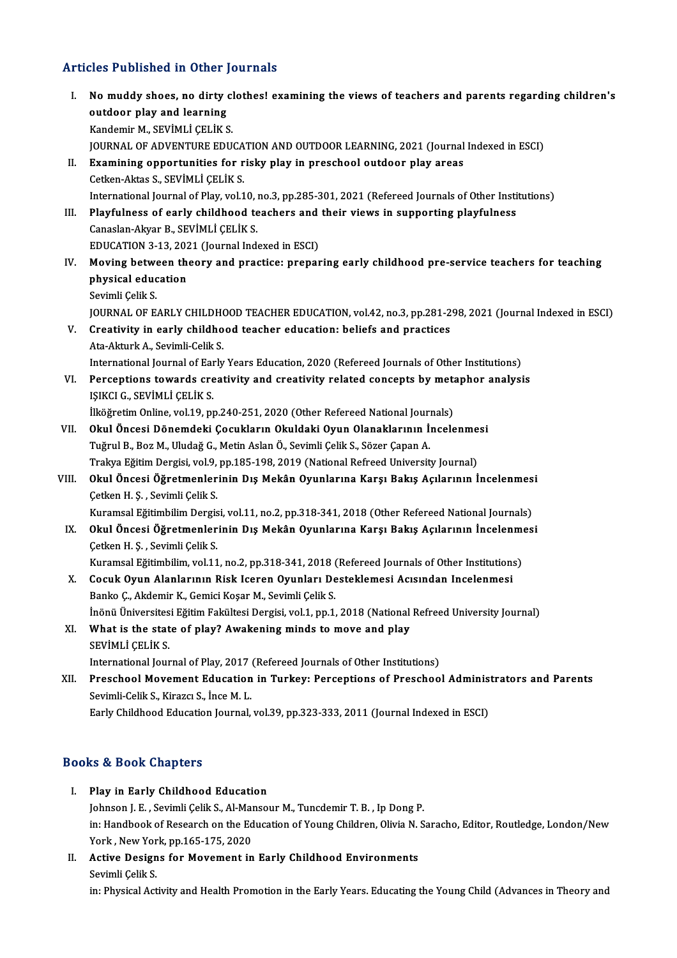# Articles Published in Other Journals

- I. No muddy shoes, no dirty clothes! examining the views of teachers and parents regarding children's<br>I. No muddy shoes, no dirty clothes! examining the views of teachers and parents regarding children's No muddy shoes, no dirty<br>No muddy shoes, no dirty<br>vendomin M SEVIMI LCELIVS outdoor play and learning<br>Kandemir M., SEVİMLİ ÇELİK S. JOURNALOFADVENTUREEDUCATIONANDOUTDOORLEARNING,2021 (Journal Indexed inESCI) Kandemir M., SEVİMLİ ÇELİK S.<br>JOURNAL OF ADVENTURE EDUCATION AND OUTDOOR LEARNING, 2021 (Journal<br>II. Examining opportunities for risky play in preschool outdoor play areas<br>Cetter Altes S. SEVİMLİ CELİK S. JOURNAL OF ADVENTURE EDUCA<br>**Examining opportunities for r**<br>Cetken-Aktas S., SEVİMLİ ÇELİK S.<br>International Journal of Play vol 1 Examining opportunities for risky play in preschool outdoor play areas<br>Cetken-Aktas S., SEVIMLI ÇELIK S.<br>International Journal of Play, vol.10, no.3, pp.285-301, 2021 (Refereed Journals of Other Institutions)<br>Playfulness o Cetken-Aktas S., SEVİMLİ ÇELİK S.<br>International Journal of Play, vol.10, no.3, pp.285-301, 2021 (Refereed Journals of Other Insti<br>III. Playfulness of early childhood teachers and their views in supporting playfulness<br>Conse International Journal of Play, vol.10, i<br>Playfulness of early childhood te<br>Canaslan-Akyar B., SEVİMLİ ÇELİK S.<br>EDUCATION 2.12.2021 (Journal Ind Playfulness of early childhood teachers and<br>Canaslan-Akyar B., SEVIMLI ÇELIK S.<br>EDUCATION 3-13, 2021 (Journal Indexed in ESCI)<br>Moving between theory and prastice: prepar Canaslan-Akyar B., SEVİMLİ ÇELİK S.<br>EDUCATION 3-13, 2021 (Journal Indexed in ESCI)<br>IV. Moving between theory and practice: preparing early childhood pre-service teachers for teaching EDUCATION 3-13, 202<br>Moving between the<br>physical education<br>Savimli Calil: S Moving betwe<br>physical educ<br>Sevimli Çelik S.<br>JOUPNAL OF F Sevimli Çelik S.<br>JOURNAL OF EARLY CHILDHOOD TEACHER EDUCATION, vol.42, no.3, pp.281-298, 2021 (Journal Indexed in ESCI) Sevimli Çelik S.<br>JOURNAL OF EARLY CHILDHOOD TEACHER EDUCATION, vol.42, no.3, pp.281-2<br>V. Creativity in early childhood teacher education: beliefs and practices JOURNAL OF EARLY CHILDHO<br>Creativity in early childho<br>Ata-Akturk A., Sevimli-Celik S.<br>International Journal of Farly Ata-Akturk A., Sevimli-Celik S.<br>International Journal of Early Years Education, 2020 (Refereed Journals of Other Institutions) Ata-Akturk A., Sevimli-Celik S.<br>International Journal of Early Years Education, 2020 (Refereed Journals of Other Institutions)<br>VI. Perceptions towards creativity and creativity related concepts by metaphor analysis<br>ISIKCLC International Journal of Ear<br>Perceptions towards cre<br>IŞIKCI G., SEVİMLİ ÇELİK S.<br><sup>İlköğnatim Online vel 19. nr</sub></sup> Perceptions towards creativity and creativity related concepts by meta<br>ISIKCI G., SEVİMLİ ÇELİK S.<br>İlköğretim Online, vol.19, pp.240-251, 2020 (Other Refereed National Journals)<br>Okul Önessi Dönemdeki Cesukların Okuldaki Oy IŞIKCI G., SEVİMLİ ÇELİK S.<br>İlköğretim Online, vol.19, pp.240-251, 2020 (Other Refereed National Journals)<br>VII. Okul Öncesi Dönemdeki Çocukların Okuldaki Oyun Olanaklarının İncelenmesi<br>Tuğrul B. Bor M. Uludağ C. Metin İlköğretim Online, vol.19, pp.240-251, 2020 (Other Refereed National Journ)<br>Okul Öncesi Dönemdeki Çocukların Okuldaki Oyun Olanaklarının İ:<br>Tuğrul B., Boz M., Uludağ G., Metin Aslan Ö., Sevimli Çelik S., Sözer Çapan A.<br>Tra Okul Öncesi Dönemdeki Çocukların Okuldaki Oyun Olanaklarının İncelenme<br>Tuğrul B., Boz M., Uludağ G., Metin Aslan Ö., Sevimli Çelik S., Sözer Çapan A.<br>Trakya Eğitim Dergisi, vol.9, pp.185-198, 2019 (National Refreed Univers Tuğrul B., Boz M., Uludağ G., Metin Aslan Ö., Sevimli Çelik S., Sözer Çapan A.<br>Trakya Eğitim Dergisi, vol.9, pp.185-198, 2019 (National Refreed University Journal)<br>VIII. Okul Öncesi Öğretmenlerinin Dış Mekân Oyunlarına Trakya Eğitim Dergisi, vol.9,<br>Okul Öncesi Öğretmenler<br>Çetken H. Ş. , Sevimli Çelik S.<br>Kuramaal Eğitimbilim Dargis Okul Öncesi Öğretmenlerinin Dış Mekân Oyunlarına Karşı Bakış Açılarının İncelenmes<br>Çetken H. Ş. , Sevimli Çelik S.<br>Kuramsal Eğitimbilim Dergisi, vol.11, no.2, pp.318-341, 2018 (Other Refereed National Journals)<br>Okul Öncesi Cetken H. Ş. , Sevimli Çelik S.<br>IX. Okul Öncesi Öğretmenlerinin Dış Mekân Oyunlarına Karşı Bakış Açılarının İncelenmesi<br>IX. Okul Öncesi Öğretmenlerinin Dış Mekân Oyunlarına Karşı Bakış Açılarının İncelenmesi<br>Cetken H. S. S Kuramsal Eğitimbilim Dergis<br><mark>Okul Öncesi Öğretmenler</mark><br>Çetken H. Ş. , Sevimli Çelik S.<br>Kuramsal Fğitimbilim val 11 Okul Öncesi Öğretmenlerinin Dış Mekân Oyunlarına Karşı Bakış Açılarının İncelenme<br>Çetken H. Ş. , Sevimli Çelik S.<br>Kuramsal Eğitimbilim, vol.11, no.2, pp.318-341, 2018 (Refereed Journals of Other Institutions)<br>Cosuk Oyun Al Cetken H. Ş. , Sevimli Çelik S.<br>Kuramsal Eğitimbilim, vol.11, no.2, pp.318-341, 2018 (Refereed Journals of Other Institution:<br>X. Cocuk Oyun Alanlarının Risk Iceren Oyunları Desteklemesi Acısından Incelenmesi<br>Papke C. Akdom Kuramsal Eğitimbilim, vol.11, no.2, pp.318-341, 2018 (<br>Cocuk Oyun Alanlarının Risk Iceren Oyunları De<br>Banko Ç., Akdemir K., Gemici Koşar M., Sevimli Çelik S.<br>İnönü Üniversitesi Fğitim Felsültesi Dergisi vol.1, np.1 Cocuk Oyun Alanlarının Risk Iceren Oyunları Desteklemesi Acısından Incelenmesi<br>Banko Ç., Akdemir K., Gemici Koşar M., Sevimli Çelik S.<br>İnönü Üniversitesi Eğitim Fakültesi Dergisi, vol.1, pp.1, 2018 (National Refreed Univer Banko Ç., Akdemir K., Gemici Koşar M., Sevimli Çelik S.<br>İnönü Üniversitesi Eğitim Fakültesi Dergisi, vol.1, pp.1, 2018 (National<br>XI. What is the state of play? Awakening minds to move and play<br>SEVIMLI CELIK S. İnönü Üniversitesi Eğitim Fakültesi Dergisi, vol.1, pp.1, 2018 (National Refreed University Journal) What is the state of play? Awakening minds to move and play<br>SEVIMLI ÇELIK S.<br>International Journal of Play, 2017 (Refereed Journals of Other Institutions)<br>Pressbool Movement Education in Turkey, Persentions of Pressboo SEVIMLI ÇELIK S.<br>International Journal of Play, 2017 (Refereed Journals of Other Institutions)<br>XII. Preschool Movement Education in Turkey: Perceptions of Preschool Administrators and Parents<br>Sevimli Celik S. Viraga S. Inc International Journal of Play, 2017<br>Preschool Movement Education<br>Sevimli-Celik S., Kirazcı S., İnce M. L.<br>Farly Childhood Education Journal Preschool Movement Education in Turkey: Perceptions of Preschool Adminis<br>Sevimli-Celik S., Kirazcı S., İnce M. L.<br>Early Childhood Education Journal, vol.39, pp.323-333, 2011 (Journal Indexed in ESCI) Early Childhood Education Journal, vol.39, pp.323-333, 2011 (Journal Indexed in ESCI)<br>Books & Book Chapters
	- I. Play in Early Childhood Education Johnson J. E., Sevimli Çelik S., Al-Mansour M., Tuncdemir T. B., Ip Dong P. Play in Early Childhood Education<br>Johnson J. E. , Sevimli Çelik S., Al-Mansour M., Tuncdemir T. B. , Ip Dong P.<br>in: Handbook of Research on the Education of Young Children, Olivia N. Saracho, Editor, Routledge, London/New<br> Johnson J. E. , Sevimli Çelik S., Al-Mai<br>in: Handbook of Research on the Ed<br>York , New York, pp.165-175, 2020<br>Active Dosians for Moyement in in: Handbook of Research on the Education of Young Children, Olivia N.<br>York, New York, pp.165-175, 2020<br>II. Active Designs for Movement in Early Childhood Environments<br>Sovimli Colik S.
	- York , New Yor<br><mark>Active Design</mark><br>Sevimli Çelik S.<br>in: Physical Act Sevimli Çelik S.<br>in: Physical Activity and Health Promotion in the Early Years. Educating the Young Child (Advances in Theory and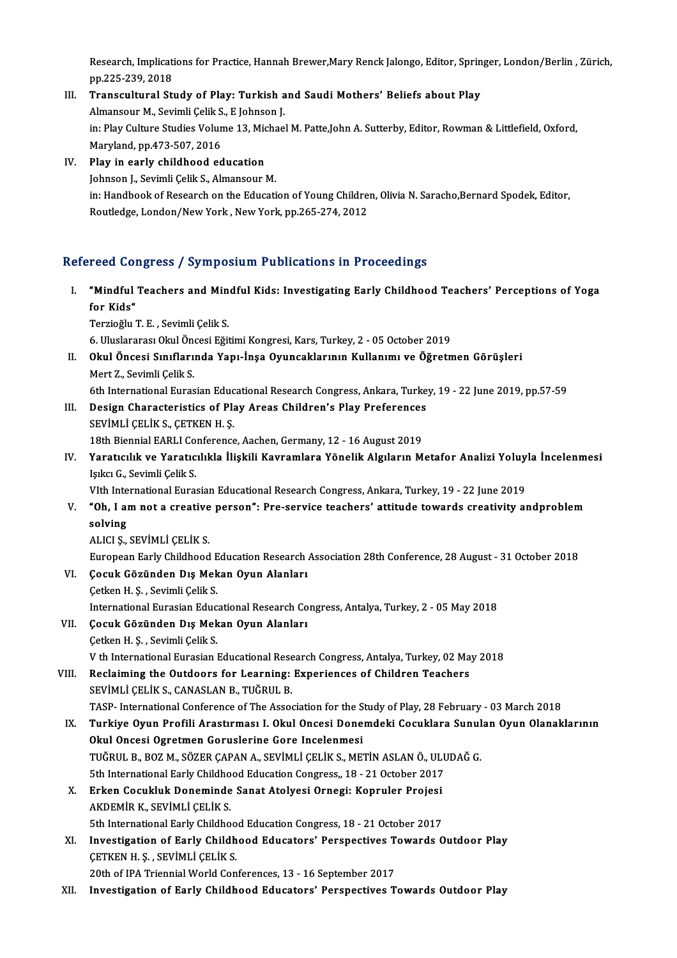Research, Implications for Practice, Hannah Brewer,Mary Renck Jalongo, Editor, Springer, London/Berlin , Zürich,<br>nn 225, 229, 2019 Research, Implicati<br>pp.225-239, 2018<br>Transsulturel Str Research, Implications for Practice, Hannah Brewer, Mary Renck Jalongo, Editor, Sprin<br>pp.225-239, 2018<br>III. Transcultural Study of Play: Turkish and Saudi Mothers' Beliefs about Play

- pp.225-239, 2018<br>Transcultural Study of Play: Turkish a<br>Almansour M., Sevimli Çelik S., E Johnson J.<br>in: Play Culture Studies Volume 12, Mishael III. Transcultural Study of Play: Turkish and Saudi Mothers' Beliefs about Play<br>Almansour M., Sevimli Çelik S., E Johnson J.<br>in: Play Culture Studies Volume 13, Michael M. Patte,John A. Sutterby, Editor, Rowman & Littlefie Almansour M., Sevimli Çelik S<br>in: Play Culture Studies Volun<br>Maryland, pp.473-507, 2016<br>Play in early shildhood ed in: Play Culture Studies Volume 13, Mic<br>Maryland, pp.473-507, 2016<br>IV. Play in early childhood education
- Maryland, pp.473-507, 2016<br>Play in early childhood education<br>Johnson J., Sevimli Çelik S., Almansour M. Johnson J., Sevimli Çelik S., Almansour M.<br>in: Handbook of Research on the Education of Young Children, Olivia N. Saracho,Bernard Spodek, Editor, Routledge, London/New York, New York, pp.265-274, 2012

# Refereed Congress / Symposium Publications in Proceedings

efereed Congress / Symposium Publications in Proceedings<br>I. "Mindful Teachers and Mindful Kids: Investigating Early Childhood Teachers' Perceptions of Yoga<br>for <sup>Vide</sup> "Mindful"<br>"Mindful"<br>Terrieğlu" **"Mindful Teachers and Min<br>for Kids"<br>Terzioğlu T. E. , Sevimli Çelik S.<br>6. Uluslaranes: Olul Önsesi Eğit** f<mark>or Kids"</mark><br>Terzioğlu T. E. , Sevimli Çelik S.<br>6. Uluslararası Okul Öncesi Eğitimi Kongresi, Kars, Turkey, 2 - 05 October 2019<br>Okul Öncesi Sınıflarında Yanı İnsa Oyuncaklarının Kullarımı ve Öğretr

Terzioğlu T. E. , Sevimli Çelik S.<br>6. Uluslararası Okul Öncesi Eğitimi Kongresi, Kars, Turkey, 2 - 05 October 2019<br>II. **Okul Öncesi Sınıflarında Yapı-İnşa Oyuncaklarının Kullanımı ve Öğretmen Görüşleri**<br>Mert Z.. Seviml 6. Uluslararası Okul Öne<br>Okul Öncesi Sınıfları<br>Mert Z., Sevimli Çelik S.<br><sup>6th</sup> International Eures

6th International Eurasian Educational Research Congress, Ankara, Turkey, 19 - 22 June 2019, pp.57-59

Mert Z., Sevimli Çelik S.<br>6th International Eurasian Educational Research Congress, Ankara, Turke<br>III. Design Characteristics of Play Areas Children's Play Preferences<br>SEVIMLI CELIK S. CETKEN H.S. SEVİMLİ ÇELİK S., ÇETKEN H. Ş.<br>18th Biennial EARLI Conference, Aachen, Germany, 12 - 16 August 2019 Design Characteristics of Play Areas Children's Play Preferences<br>SEVİMLİ ÇELİK S., ÇETKEN H. Ş.<br>18th Biennial EARLI Conference, Aachen, Germany, 12 - 16 August 2019<br>Varatıcılık ve Yaratıcılıkla İliskili Kauramlara Yönelik

SEVİMLİ ÇELİK S., ÇETKEN H. Ş.<br>18th Biennial EARLI Conference, Aachen, Germany, 12 - 16 August 2019<br>IV. Yaratıcılık ve Yaratıcılıkla İlişkili Kavramlara Yönelik Algıların Metafor Analizi Yoluyla İncelenmesi<br>Jaka C. Sav 18th Biennial EARLI Co.<br>Yaratıcılık ve Yaratıc<br>Işıkcı G., Sevimli Çelik S.<br>With International Euro Yaratıcılık ve Yaratıcılıkla İlişkili Kavramlara Yönelik Algıların Metafor Analizi Yoluy!<br>Işıkcı G., Sevimli Çelik S.<br>VIth International Eurasian Educational Research Congress, Ankara, Turkey, 19 - 22 June 2019<br>"Ob. Lam na

VIth International Eurasian Educational Research Congress, Ankara, Turkey, 19 - 22 June 2019

Işıkcı G., Sevimli Çelik S.<br>V. "Oh, I am not a creative person": Pre-service teachers' attitude towards creativity andproblem<br>Solving<br>Solving solving<br>ALICI Ș., SEVİMLİ ÇELİK S.<br>European Early Childhood Education Research Association 28th Conference, 28 August - 31 October 2018<br>Cosuk Gözünden Dış Makan Oyun Alanları

ALICI Ş.,SEVİMLİÇELİKS.

# VI. Çocuk Gözünden Dış Mekan Oyun Alanları<br>Cetken H. S., Sevimli Çelik S.

- European Early Childhood E<br>**Çocuk Gözünden Dış Mek**<br>Çetken H. Ş. , Sevimli Çelik S.<br>International Eurosian Edus International Eurasian Educational Research Congress, Antalya, Turkey, 2 - 05 May 2018
- VII. Çocuk Gözünden Dış Mekan Oyun Alanları Çetken H. Ş., Sevimli Çelik S. V th International Eurasian Educational Research Congress, Antalya, Turkey, 02 May 2018
- VIII. Reclaiming the Outdoors for Learning: Experiences of Children Teachers SEVİMLİ ÇELİK S., CANASLAN B., TUĞRUL B. TASP- International Conference of The Association for the Study of Play, 28 February - 03 March 2018
	- SEVİMLİ ÇELİK S., CANASLAN B., TUĞRUL B.<br>TASP- International Conference of The Association for the Study of Play, 28 February 03 March 2018<br>IX. Turkiye Oyun Profili Arastırması I. Okul Oncesi Donemdeki Cocuklara Sunu TASP- International Conference of The Association for the S<br>Turkiye Oyun Profili Arastırması I. Okul Oncesi Done<br>Okul Oncesi Ogretmen Goruslerine Gore Incelenmesi<br>TUČPUL B. BOZ M. SÖZER CARAN A. SEVİMLİ CELİK S. ME'
	- Turkiye Oyun Profili Arastırması I. Okul Oncesi Donemdeki Cocuklara Sunul<br>Okul Oncesi Ogretmen Goruslerine Gore Incelenmesi<br>TUĞRUL B., BOZ M., SÖZER ÇAPAN A., SEVİMLİ ÇELİK S., METİN ASLAN Ö., ULUDAĞ G.<br>Eth International F Okul Oncesi Ogretmen Goruslerine Gore Incelenmesi<br>TUĞRUL B., BOZ M., SÖZER ÇAPAN A., SEVİMLİ ÇELİK S., METİN ASLAN Ö., ULUDAĞ G.<br>5th International Early Childhood Education Congress,, 18 - 21 October 2017
	- TUĞRUL B., BOZ M., SÖZER ÇAPAN A., SEVİMLİ ÇELİK S., METİN ASLAN Ö., UL<br>5th International Early Childhood Education Congress,, 18 21 October 2017<br>X. Erken Cocukluk Doneminde Sanat Atolyesi Ornegi: Kopruler Projesi<br>AKDEMİ 5th International Early Childho<br>Erken Cocukluk Doneminde<br>AKDEMİR K., SEVİMLİ ÇELİK S.<br>Eth International Ferly Childho Erken Cocukluk Doneminde Sanat Atolyesi Ornegi: Kopruler Projesi<br>AKDEMİR K., SEVİMLİ ÇELİK S.<br>5th International Early Childhood Education Congress, 18 - 21 October 2017<br>Investigation of Early Childhood Educators' Perspecti

AKDEMİR K., SEVİMLİ ÇELİK S.<br>5th International Early Childhood Education Congress, 18 - 21 October 2017<br>XI. Investigation of Early Childhood Educators' Perspectives Towards Outdoor Play<br>CETKEN H.S. SEVİMLİ CELİK S. 5th International Early Childhoo<br>Investigation of Early Childh<br>ÇETKEN H. Ş. , SEVİMLİ ÇELİK S.<br>20th of IPA Triennial World Con Investigation of Early Childhood Educators' Perspectives T<br>CETKEN H. S. , SEVIMLI CELIK S.<br>20th of IPA Triennial World Conferences, 13 - 16 September 2017<br>Investigation of Early Childhood Educators' Perspectives T CETKEN H. Ş. , SEVİMLİ CELİK S.<br>20th of IPA Triennial World Conferences, 13 - 16 September 2017<br>XII. Investigation of Early Childhood Educators' Perspectives Towards Outdoor Play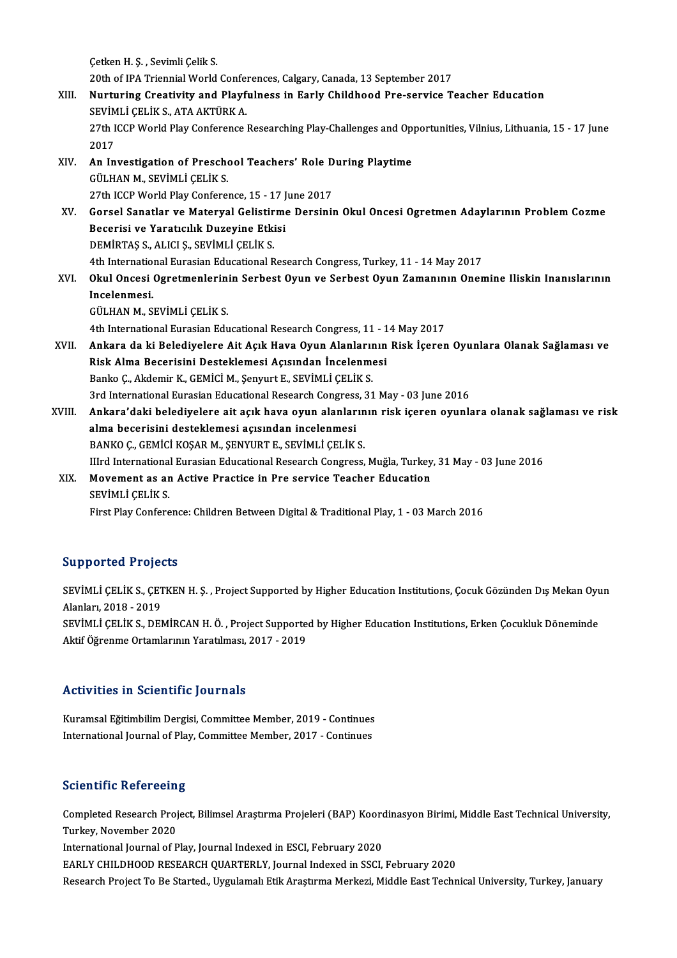Çetken H. Ş., Sevimli Çelik S. 20th of IPA Triennial World Conferences, Calgary, Canada, 13 September 2017 Cetken H. S. , Sevimli Celik S.<br>20th of IPA Triennial World Conferences, Calgary, Canada, 13 September 2017<br>XIII. Nurturing Creativity and Playfulness in Early Childhood Pre-service Teacher Education<br>SEVIMLI CELIK S. ATA A 20th of IPA Triennial World Confer<br>**Nurturing Creativity and Playf**<br>SEVİMLİ ÇELİK S., ATA AKTÜRK A.<br>27th ICCP World Play Conference. 27th ICCP World Play Conference Researching Play-Challenges and Opportunities, Vilnius, Lithuania, 15 - 17 June<br>2017 SEVİMLİ ÇELİK S., ATA AKTÜRK A. 27th ICCP World Play Conference Researching Play-Challenges and Op.<br>2017<br>XIV. An Investigation of Preschool Teachers' Role During Playtime<br>CULLAN M. SEVIMLI CELIVS 2017<br>An Investigation of Presche<br>GÜLHAN M., SEVİMLİ ÇELİK S.<br>27th ICCP World Play Confore An Investigation of Preschool Teachers' Role D<br>GÜLHAN M., SEVİMLİ ÇELİK S.<br>27th ICCP World Play Conference, 15 - 17 June 2017<br>Corsel Sanatlar ve Materual Celistinme Dersinin GÜLHAN M., SEVİMLİ ÇELİK S.<br>27th ICCP World Play Conference, 15 - 17 June 2017<br>XV. Gorsel Sanatlar ve Materyal Gelistirme Dersinin Okul Oncesi Ogretmen Adaylarının Problem Cozme<br>Peserisi ve Yaratısılık Dugevine Etkisi 27th ICCP World Play Conference, 15 - 17 J<br>Gorsel Sanatlar ve Materyal Gelistirm<br>Becerisi ve Yaratıcılık Duzeyine Etkisi<br>DEMİPTAS S. ALICLS, SEVİMLİ CELİK S Gorsel Sanatlar ve Materyal Gelistir<br>Becerisi ve Yaratıcılık Duzeyine Etki<br>DEMİRTAŞ S., ALICI Ş., SEVİMLİ ÇELİK S.<br>4th International Euresian Educational B Becerisi ve Yaratıcılık Duzeyine Etkisi<br>DEMİRTAŞ S., ALICI Ş., SEVİMLİ ÇELİK S.<br>4th International Eurasian Educational Research Congress, Turkey, 11 - 14 May 2017 DEMİRTAŞ S., ALICI Ş., SEVİMLİ ÇELİK S.<br>4th International Eurasian Educational Research Congress, Turkey, 11 - 14 May 2017<br>XVI. Okul Oncesi Ogretmenlerinin Serbest Oyun ve Serbest Oyun Zamanının Onemine Iliskin Inanısl 4th Internatio<br>Okul Oncesi<br>Incelenmesi.<br>CÜLHAN M. S Okul Oncesi Ogretmenlerin<br>Incelenmesi.<br>GÜLHAN M., SEVİMLİ ÇELİK S.<br>4th International Eurosian Edu Incelenmesi.<br>GÜLHAN M., SEVİMLİ ÇELİK S.<br>4th International Eurasian Educational Research Congress, 11 - 14 May 2017 XVI . Ankara da ki Belediyelere Ait Açık Hava Oyun Alanlarının Risk İçeren Oyunlara Olanak Sağlaması ve 4th International Eurasian Educational Research Congress, 11 - 1<br>Ankara da ki Belediyelere Ait Açık Hava Oyun Alanlarının<br>Risk Alma Becerisini Desteklemesi Açısından İncelenmesi<br>Panka G. Akdamir K. GEMİCİ M. Sanmut E. SEVİ Ankara da ki Belediyelere Ait Açık Hava Oyun Alanlarıı<br>Risk Alma Becerisini Desteklemesi Açısından İncelenme<br>Banko Ç., Akdemir K., GEMİCİ M., Şenyurt E., SEVİMLİ ÇELİK S.<br><sup>2nd International Eurosian Educational Besserah Co</sup> Banko Ç., Akdemir K., GEMİCİ M., Şenyurt E., SEVİMLİ ÇELİK S.<br>3rd International Eurasian Educational Research Congress, 31 May - 03 June 2016 XVIII. Ankara'daki belediyelere ait açık hava oyun alanlarının risk içeren oyunlara olanak sağlaması ve risk alma becerisini desteklemesi açısından incelenmesi BANKOÇ., GEMİCİ KOŞARM., ŞENYURTE., SEVİMLİ ÇELİKS. IIIrd International Eurasian Educational Research Congress, Muğla, Turkey, 31 May - 03 June 2016 BANKO Ç., GEMİCİ KOŞAR M., ŞENYURT E., SEVİMLİ ÇELİK S.<br>IIIrd International Eurasian Educational Research Congress, Muğla, Turkey<br>XIX. Movement as an Active Practice in Pre service Teacher Education<br>SEVIMLİ CELİK S Illrd Internationa<br>Movement as an<br>SEVİMLİ ÇELİK S.<br>Einst Play Confore SEVİMLİ ÇELİK S.<br>First Play Conference: Children Between Digital & Traditional Play, 1 - 03 March 2016

# Supported Projects

Supported Projects<br>SEVİMLİ ÇELİK S., ÇETKEN H. Ş. , Project Supported by Higher Education Institutions, Çocuk Gözünden Dış Mekan Oyun<br>Alapları, 2018 - 2019 Supported Trojet<br>SEVİMLİ ÇELİK S., ÇET<br>Alanları, 2018 - 2019<br>SEVİMLİ ÇELİK S. DEN SEVİMLİ ÇELİK S., ÇETKEN H. Ş. , Project Supported by Higher Education Institutions, Çocuk Gözünden Dış Mekan Oyu<br>Alanları, 2018 - 2019<br>SEVİMLİ ÇELİK S., DEMİRCAN H. Ö. , Project Supported by Higher Education Institutions, Alanları, 2018 - 2019<br>SEVİMLİ ÇELİK S., DEMİRCAN H. Ö. , Project Supporte<br>Aktif Öğrenme Ortamlarının Yaratılması, 2017 - 2019 Aktif Öğrenme Ortamlarının Yaratılması, 2017 - 2019<br>Activities in Scientific Journals

Activities in Scientific Journals<br>Kuramsal Eğitimbilim Dergisi, Committee Member, 2019 - Continues<br>International Journal of Blay, Committee Member, 2017 - Continues ITCENTEECO III OCTORERITO JOURNAIO<br>Kuramsal Eğitimbilim Dergisi, Committee Member, 2019 - Continues<br>International Journal of Play, Committee Member, 2017 - Continues International Journal of Play, Committee Member, 2017 - Continues<br>Scientific Refereeing

Scientific Refereeing<br>Completed Research Project, Bilimsel Araştırma Projeleri (BAP) Koordinasyon Birimi, Middle East Technical University,<br>Turkay, November 2020 **Concenting Noter Congressed**<br>Completed Research Proj<br>Turkey, November 2020<br>International Isuunal of B Completed Research Project, Bilimsel Araştırma Projeleri (BAP) Koord<br>Turkey, November 2020<br>International Journal of Play, Journal Indexed in ESCI, February 2020<br>FARLY CHILDHOOD RESEARCH OUARTERLY, Journal Indexed in SSCI Turkey, November 2020<br>International Journal of Play, Journal Indexed in ESCI, February 2020<br>EARLY CHILDHOOD RESEARCH QUARTERLY, Journal Indexed in SSCI, February 2020 Research Project To Be Started., Uygulamalı Etik Araştırma Merkezi, Middle East Technical University, Turkey, January